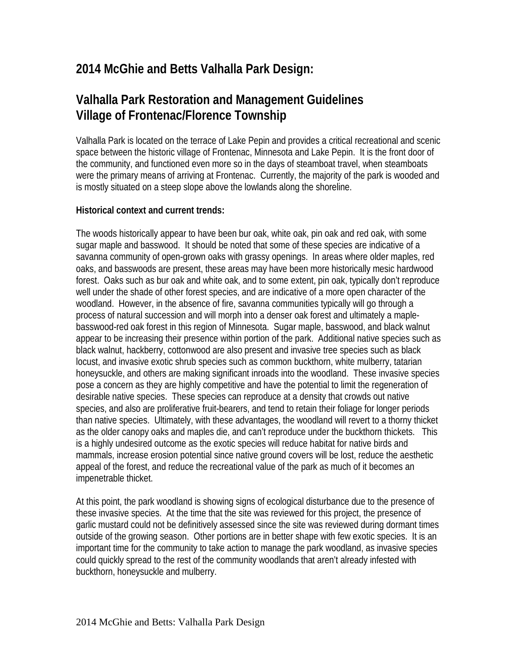## **2014 McGhie and Betts Valhalla Park Design:**

# **Valhalla Park Restoration and Management Guidelines Village of Frontenac/Florence Township**

Valhalla Park is located on the terrace of Lake Pepin and provides a critical recreational and scenic space between the historic village of Frontenac, Minnesota and Lake Pepin. It is the front door of the community, and functioned even more so in the days of steamboat travel, when steamboats were the primary means of arriving at Frontenac. Currently, the majority of the park is wooded and is mostly situated on a steep slope above the lowlands along the shoreline.

### **Historical context and current trends:**

The woods historically appear to have been bur oak, white oak, pin oak and red oak, with some sugar maple and basswood. It should be noted that some of these species are indicative of a savanna community of open-grown oaks with grassy openings. In areas where older maples, red oaks, and basswoods are present, these areas may have been more historically mesic hardwood forest. Oaks such as bur oak and white oak, and to some extent, pin oak, typically don't reproduce well under the shade of other forest species, and are indicative of a more open character of the woodland. However, in the absence of fire, savanna communities typically will go through a process of natural succession and will morph into a denser oak forest and ultimately a maplebasswood-red oak forest in this region of Minnesota. Sugar maple, basswood, and black walnut appear to be increasing their presence within portion of the park. Additional native species such as black walnut, hackberry, cottonwood are also present and invasive tree species such as black locust, and invasive exotic shrub species such as common buckthorn, white mulberry, tatarian honeysuckle, and others are making significant inroads into the woodland. These invasive species pose a concern as they are highly competitive and have the potential to limit the regeneration of desirable native species. These species can reproduce at a density that crowds out native species, and also are proliferative fruit-bearers, and tend to retain their foliage for longer periods than native species. Ultimately, with these advantages, the woodland will revert to a thorny thicket as the older canopy oaks and maples die, and can't reproduce under the buckthorn thickets. This is a highly undesired outcome as the exotic species will reduce habitat for native birds and mammals, increase erosion potential since native ground covers will be lost, reduce the aesthetic appeal of the forest, and reduce the recreational value of the park as much of it becomes an impenetrable thicket.

At this point, the park woodland is showing signs of ecological disturbance due to the presence of these invasive species. At the time that the site was reviewed for this project, the presence of garlic mustard could not be definitively assessed since the site was reviewed during dormant times outside of the growing season. Other portions are in better shape with few exotic species. It is an important time for the community to take action to manage the park woodland, as invasive species could quickly spread to the rest of the community woodlands that aren't already infested with buckthorn, honeysuckle and mulberry.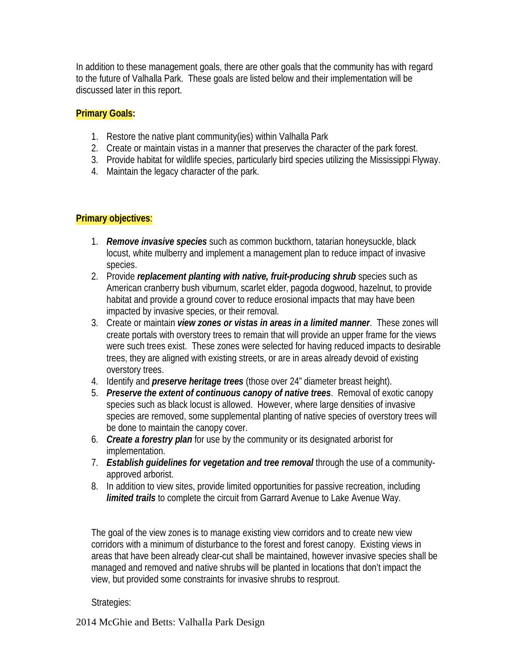In addition to these management goals, there are other goals that the community has with regard to the future of Valhalla Park. These goals are listed below and their implementation will be discussed later in this report.

#### **Primary Goals:**

- 1. Restore the native plant community(ies) within Valhalla Park
- 2. Create or maintain vistas in a manner that preserves the character of the park forest.
- 3. Provide habitat for wildlife species, particularly bird species utilizing the Mississippi Flyway.
- 4. Maintain the legacy character of the park.

### **Primary objectives**:

- 1. *Remove invasive species* such as common buckthorn, tatarian honeysuckle, black locust, white mulberry and implement a management plan to reduce impact of invasive species.
- 2. Provide *replacement planting with native, fruit-producing shrub* species such as American cranberry bush viburnum, scarlet elder, pagoda dogwood, hazelnut, to provide habitat and provide a ground cover to reduce erosional impacts that may have been impacted by invasive species, or their removal.
- 3. Create or maintain *view zones or vistas in areas in a limited manner*. These zones will create portals with overstory trees to remain that will provide an upper frame for the views were such trees exist. These zones were selected for having reduced impacts to desirable trees, they are aligned with existing streets, or are in areas already devoid of existing overstory trees.
- 4. Identify and *preserve heritage trees* (those over 24" diameter breast height).
- 5. *Preserve the extent of continuous canopy of native trees*. Removal of exotic canopy species such as black locust is allowed. However, where large densities of invasive species are removed, some supplemental planting of native species of overstory trees will be done to maintain the canopy cover.
- 6. *Create a forestry plan* for use by the community or its designated arborist for implementation.
- 7. *Establish guidelines for vegetation and tree removal* through the use of a communityapproved arborist.
- 8. In addition to view sites, provide limited opportunities for passive recreation, including *limited trails* to complete the circuit from Garrard Avenue to Lake Avenue Way.

The goal of the view zones is to manage existing view corridors and to create new view corridors with a minimum of disturbance to the forest and forest canopy. Existing views in areas that have been already clear-cut shall be maintained, however invasive species shall be managed and removed and native shrubs will be planted in locations that don't impact the view, but provided some constraints for invasive shrubs to resprout.

Strategies:

2014 McGhie and Betts: Valhalla Park Design